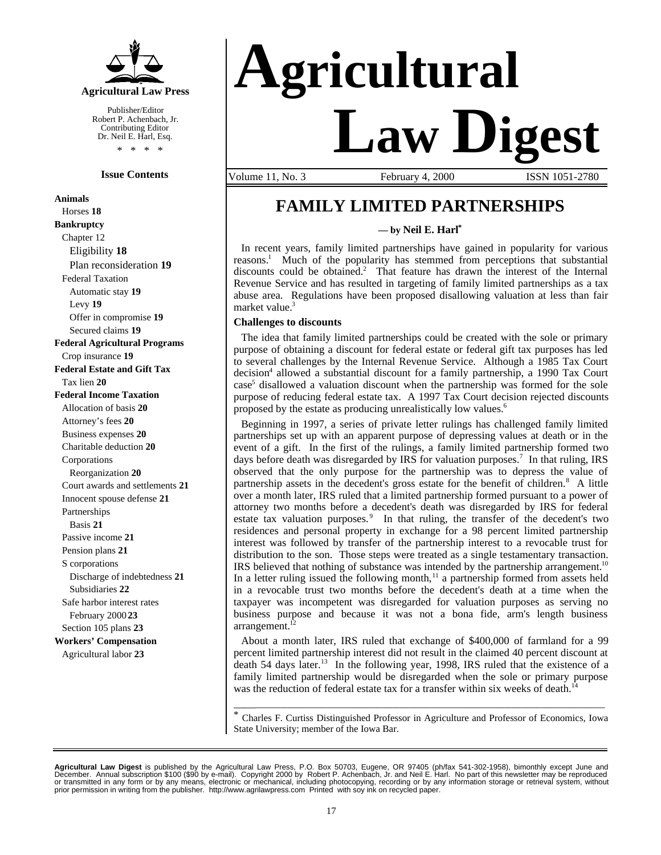

Publisher/Editor Robert P. Achenbach, Jr. Contributing Editor Dr. Neil E. Harl, Esq. \* \* \* \*

#### **Issue Contents**

**Animals** Horses **18 Bankruptcy** Chapter 12 Eligibility **18** Plan reconsideration **19** Federal Taxation Automatic stay **19** Levy **19** Offer in compromise **19** Secured claims **19 Federal Agricultural Programs** Crop insurance **19 Federal Estate and Gift Tax** Tax lien **20 Federal Income Taxation** Allocation of basis **20** Attorney's fees **20** Business expenses **20** Charitable deduction **20** Corporations Reorganization **20** Court awards and settlements **21** Innocent spouse defense **21** Partnerships Basis **21** Passive income **21** Pension plans **21** S corporations Discharge of indebtedness **21** Subsidiaries **22** Safe harbor interest rates February 2000 **23** Section 105 plans **23 Workers' Compensation** Agricultural labor **23**

# **Agricultural Law Digest**

Volume 11, No. 3 **February 4, 2000** ISSN 1051-2780

### **FAMILY LIMITED PARTNERSHIPS**

**— by Neil E. Harl\***

In recent years, family limited partnerships have gained in popularity for various reasons.<sup>1</sup> Much of the popularity has stemmed from perceptions that substantial discounts could be obtained.<sup>2</sup> That feature has drawn the interest of the Internal Revenue Service and has resulted in targeting of family limited partnerships as a tax abuse area. Regulations have been proposed disallowing valuation at less than fair market value.<sup>3</sup>

#### **Challenges to discounts**

The idea that family limited partnerships could be created with the sole or primary purpose of obtaining a discount for federal estate or federal gift tax purposes has led to several challenges by the Internal Revenue Service. Although a 1985 Tax Court decision<sup>4</sup> allowed a substantial discount for a family partnership, a 1990 Tax Court case<sup>5</sup> disallowed a valuation discount when the partnership was formed for the sole purpose of reducing federal estate tax. A 1997 Tax Court decision rejected discounts proposed by the estate as producing unrealistically low values.<sup>6</sup>

Beginning in 1997, a series of private letter rulings has challenged family limited partnerships set up with an apparent purpose of depressing values at death or in the event of a gift. In the first of the rulings, a family limited partnership formed two days before death was disregarded by IRS for valuation purposes.<sup>7</sup> In that ruling, IRS observed that the only purpose for the partnership was to depress the value of partnership assets in the decedent's gross estate for the benefit of children.<sup>8</sup> A little over a month later, IRS ruled that a limited partnership formed pursuant to a power of attorney two months before a decedent's death was disregarded by IRS for federal estate tax valuation purposes.<sup>9</sup> In that ruling, the transfer of the decedent's two residences and personal property in exchange for a 98 percent limited partnership interest was followed by transfer of the partnership interest to a revocable trust for distribution to the son. Those steps were treated as a single testamentary transaction. IRS believed that nothing of substance was intended by the partnership arrangement.<sup>10</sup> In a letter ruling issued the following month,<sup>11</sup> a partnership formed from assets held in a revocable trust two months before the decedent's death at a time when the taxpayer was incompetent was disregarded for valuation purposes as serving no business purpose and because it was not a bona fide, arm's length business arrangement.<sup>12</sup>

About a month later, IRS ruled that exchange of \$400,000 of farmland for a 99 percent limited partnership interest did not result in the claimed 40 percent discount at death 54 days later.<sup>13</sup> In the following year, 1998, IRS ruled that the existence of a family limited partnership would be disregarded when the sole or primary purpose was the reduction of federal estate tax for a transfer within six weeks of death.<sup>14</sup>

\_\_\_\_\_\_\_\_\_\_\_\_\_\_\_\_\_\_\_\_\_\_\_\_\_\_\_\_\_\_\_\_\_\_\_\_\_\_\_\_\_\_\_\_\_\_\_\_\_\_\_\_\_\_\_\_\_\_\_\_\_\_\_\_\_\_\_\_\_\_\_\_\_\_\_\_ \* Charles F. Curtiss Distinguished Professor in Agriculture and Professor of Economics, Iowa State University; member of the Iowa Bar.

**Agricultural Law Digest** is published by the Agricultural Law Press, P.O. Box 50703, Eugene, OR 97405 (ph/fax 541-302-1958), bimonthly except June and<br>December. Annual subscription \$100 (\$90 by e-mail). Copyright 2000 by